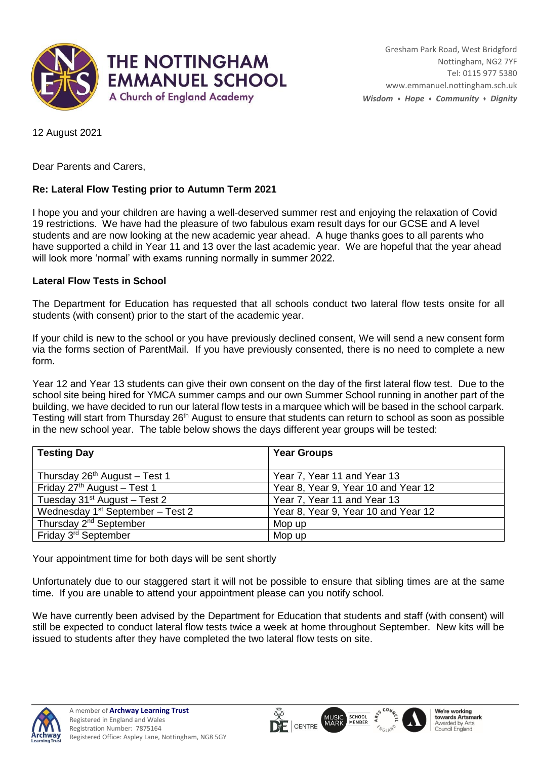

12 August 2021

Dear Parents and Carers,

## **Re: Lateral Flow Testing prior to Autumn Term 2021**

I hope you and your children are having a well-deserved summer rest and enjoying the relaxation of Covid 19 restrictions. We have had the pleasure of two fabulous exam result days for our GCSE and A level students and are now looking at the new academic year ahead. A huge thanks goes to all parents who have supported a child in Year 11 and 13 over the last academic year. We are hopeful that the year ahead will look more 'normal' with exams running normally in summer 2022.

## **Lateral Flow Tests in School**

The Department for Education has requested that all schools conduct two lateral flow tests onsite for all students (with consent) prior to the start of the academic year.

If your child is new to the school or you have previously declined consent, We will send a new consent form via the forms section of ParentMail. If you have previously consented, there is no need to complete a new form.

Year 12 and Year 13 students can give their own consent on the day of the first lateral flow test. Due to the school site being hired for YMCA summer camps and our own Summer School running in another part of the building, we have decided to run our lateral flow tests in a marquee which will be based in the school carpark. Testing will start from Thursday 26<sup>th</sup> August to ensure that students can return to school as soon as possible in the new school year. The table below shows the days different year groups will be tested:

| <b>Testing Day</b>                 | <b>Year Groups</b>                  |
|------------------------------------|-------------------------------------|
|                                    |                                     |
| Thursday $26th$ August – Test 1    | Year 7, Year 11 and Year 13         |
| Friday $27th$ August - Test 1      | Year 8, Year 9, Year 10 and Year 12 |
| Tuesday $31st$ August - Test 2     | Year 7, Year 11 and Year 13         |
| Wednesday $1st$ September – Test 2 | Year 8, Year 9, Year 10 and Year 12 |
| Thursday 2 <sup>nd</sup> September | Mop up                              |
| Friday 3 <sup>rd</sup> September   | Mop up                              |

Your appointment time for both days will be sent shortly

Unfortunately due to our staggered start it will not be possible to ensure that sibling times are at the same time. If you are unable to attend your appointment please can you notify school.

We have currently been advised by the Department for Education that students and staff (with consent) will still be expected to conduct lateral flow tests twice a week at home throughout September. New kits will be issued to students after they have completed the two lateral flow tests on site.

 $\overline{\mathsf{Q}}$